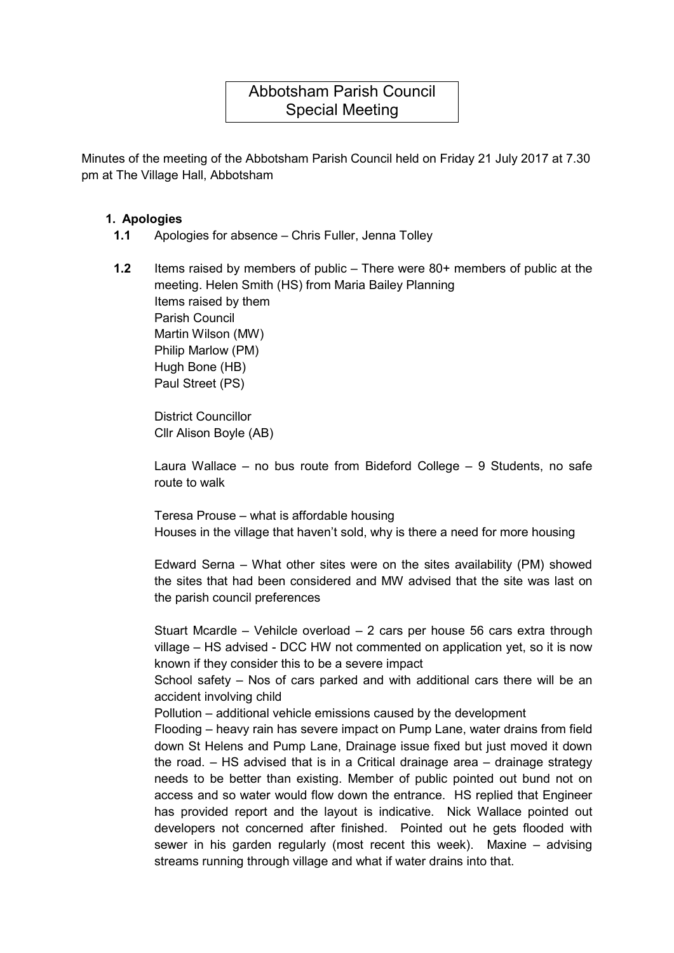# Abbotsham Parish Council Special Meeting

Minutes of the meeting of the Abbotsham Parish Council held on Friday 21 July 2017 at 7.30 pm at The Village Hall, Abbotsham

## 1. Apologies

- 1.1 Apologies for absence Chris Fuller, Jenna Tolley
- 1.2 Items raised by members of public There were 80+ members of public at the meeting. Helen Smith (HS) from Maria Bailey Planning Items raised by them Parish Council Martin Wilson (MW) Philip Marlow (PM) Hugh Bone (HB) Paul Street (PS)

District Councillor Cllr Alison Boyle (AB)

Laura Wallace – no bus route from Bideford College – 9 Students, no safe route to walk

Teresa Prouse – what is affordable housing Houses in the village that haven't sold, why is there a need for more housing

Edward Serna – What other sites were on the sites availability (PM) showed the sites that had been considered and MW advised that the site was last on the parish council preferences

Stuart Mcardle – Vehilcle overload – 2 cars per house 56 cars extra through village – HS advised - DCC HW not commented on application yet, so it is now known if they consider this to be a severe impact

School safety – Nos of cars parked and with additional cars there will be an accident involving child

Pollution – additional vehicle emissions caused by the development

Flooding – heavy rain has severe impact on Pump Lane, water drains from field down St Helens and Pump Lane, Drainage issue fixed but just moved it down the road. – HS advised that is in a Critical drainage area – drainage strategy needs to be better than existing. Member of public pointed out bund not on access and so water would flow down the entrance. HS replied that Engineer has provided report and the layout is indicative. Nick Wallace pointed out developers not concerned after finished. Pointed out he gets flooded with sewer in his garden regularly (most recent this week). Maxine – advising streams running through village and what if water drains into that.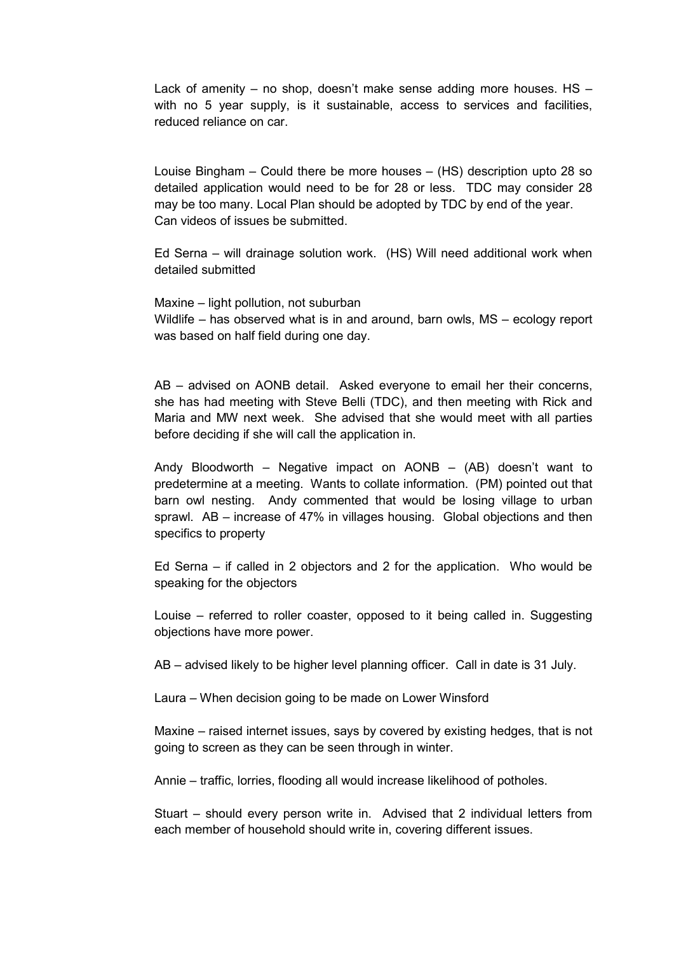Lack of amenity – no shop, doesn't make sense adding more houses. HS – with no 5 year supply, is it sustainable, access to services and facilities, reduced reliance on car.

Louise Bingham – Could there be more houses – (HS) description upto 28 so detailed application would need to be for 28 or less. TDC may consider 28 may be too many. Local Plan should be adopted by TDC by end of the year. Can videos of issues be submitted.

Ed Serna – will drainage solution work. (HS) Will need additional work when detailed submitted

Maxine – light pollution, not suburban Wildlife – has observed what is in and around, barn owls, MS – ecology report was based on half field during one day.

AB – advised on AONB detail. Asked everyone to email her their concerns, she has had meeting with Steve Belli (TDC), and then meeting with Rick and Maria and MW next week. She advised that she would meet with all parties before deciding if she will call the application in.

Andy Bloodworth – Negative impact on AONB – (AB) doesn't want to predetermine at a meeting. Wants to collate information. (PM) pointed out that barn owl nesting. Andy commented that would be losing village to urban sprawl. AB – increase of 47% in villages housing. Global objections and then specifics to property

Ed Serna – if called in 2 objectors and 2 for the application. Who would be speaking for the objectors

Louise – referred to roller coaster, opposed to it being called in. Suggesting objections have more power.

AB – advised likely to be higher level planning officer. Call in date is 31 July.

Laura – When decision going to be made on Lower Winsford

Maxine – raised internet issues, says by covered by existing hedges, that is not going to screen as they can be seen through in winter.

Annie – traffic, lorries, flooding all would increase likelihood of potholes.

Stuart – should every person write in. Advised that 2 individual letters from each member of household should write in, covering different issues.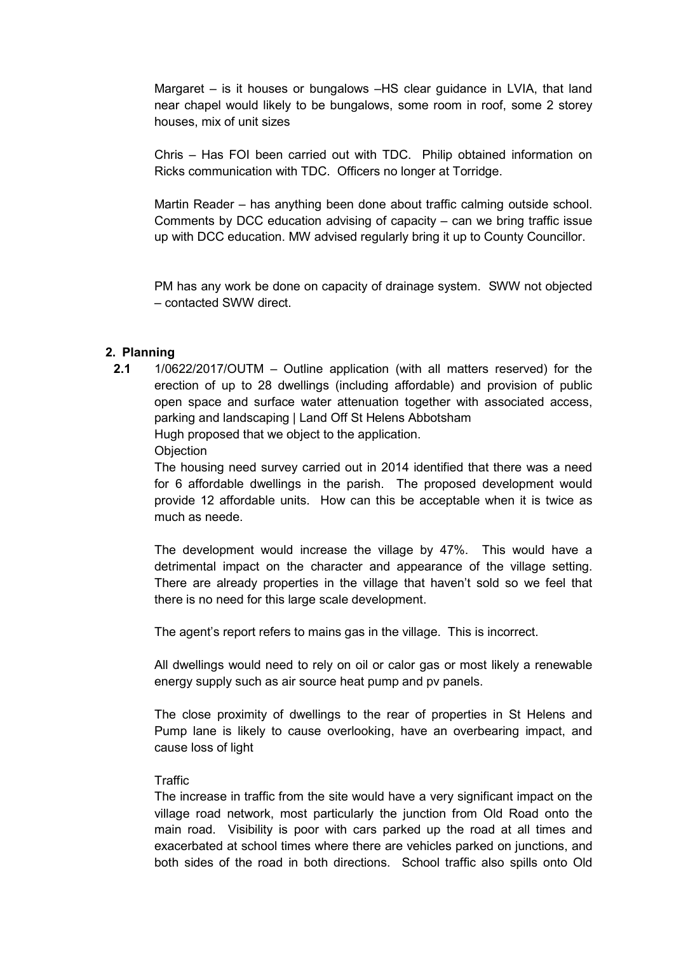Margaret – is it houses or bungalows –HS clear guidance in LVIA, that land near chapel would likely to be bungalows, some room in roof, some 2 storey houses, mix of unit sizes

Chris – Has FOI been carried out with TDC. Philip obtained information on Ricks communication with TDC. Officers no longer at Torridge.

Martin Reader – has anything been done about traffic calming outside school. Comments by DCC education advising of capacity – can we bring traffic issue up with DCC education. MW advised regularly bring it up to County Councillor.

PM has any work be done on capacity of drainage system. SWW not objected – contacted SWW direct.

### 2. Planning

2.1 1/0622/2017/OUTM – Outline application (with all matters reserved) for the erection of up to 28 dwellings (including affordable) and provision of public open space and surface water attenuation together with associated access, parking and landscaping | Land Off St Helens Abbotsham Hugh proposed that we object to the application.

**Objection** 

The housing need survey carried out in 2014 identified that there was a need for 6 affordable dwellings in the parish. The proposed development would provide 12 affordable units. How can this be acceptable when it is twice as much as neede.

The development would increase the village by 47%. This would have a detrimental impact on the character and appearance of the village setting. There are already properties in the village that haven't sold so we feel that there is no need for this large scale development.

The agent's report refers to mains gas in the village. This is incorrect.

All dwellings would need to rely on oil or calor gas or most likely a renewable energy supply such as air source heat pump and pv panels.

The close proximity of dwellings to the rear of properties in St Helens and Pump lane is likely to cause overlooking, have an overbearing impact, and cause loss of light

#### **Traffic**

The increase in traffic from the site would have a very significant impact on the village road network, most particularly the junction from Old Road onto the main road. Visibility is poor with cars parked up the road at all times and exacerbated at school times where there are vehicles parked on junctions, and both sides of the road in both directions. School traffic also spills onto Old